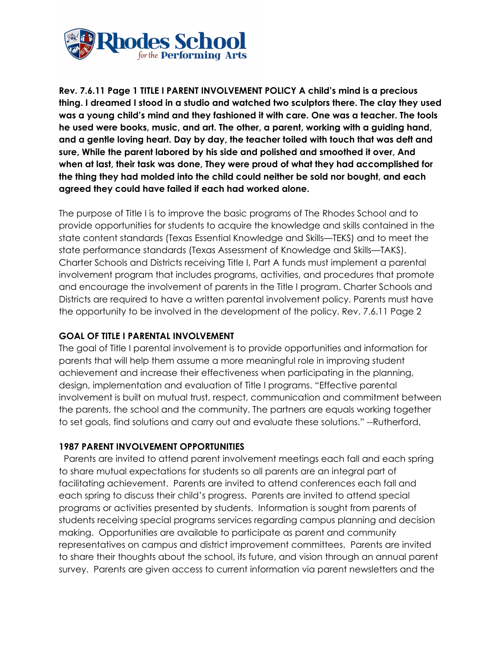

**Rev. 7.6.11 Page 1 TITLE I PARENT INVOLVEMENT POLICY A child's mind is a precious thing. I dreamed I stood in a studio and watched two sculptors there. The clay they used was a young child's mind and they fashioned it with care. One was a teacher. The tools he used were books, music, and art. The other, a parent, working with a guiding hand, and a gentle loving heart. Day by day, the teacher toiled with touch that was deft and sure, While the parent labored by his side and polished and smoothed it over, And when at last, their task was done, They were proud of what they had accomplished for the thing they had molded into the child could neither be sold nor bought, and each agreed they could have failed if each had worked alone.**

The purpose of Title I is to improve the basic programs of The Rhodes School and to provide opportunities for students to acquire the knowledge and skills contained in the state content standards (Texas Essential Knowledge and Skills—TEKS) and to meet the state performance standards (Texas Assessment of Knowledge and Skills—TAKS). Charter Schools and Districts receiving Title I, Part A funds must implement a parental involvement program that includes programs, activities, and procedures that promote and encourage the involvement of parents in the Title I program. Charter Schools and Districts are required to have a written parental involvement policy. Parents must have the opportunity to be involved in the development of the policy. Rev. 7.6.11 Page 2

## **GOAL OF TITLE I PARENTAL INVOLVEMENT**

The goal of Title I parental involvement is to provide opportunities and information for parents that will help them assume a more meaningful role in improving student achievement and increase their effectiveness when participating in the planning, design, implementation and evaluation of Title I programs. "Effective parental involvement is built on mutual trust, respect, communication and commitment between the parents, the school and the community. The partners are equals working together to set goals, find solutions and carry out and evaluate these solutions." --Rutherford,

## **1987 PARENT INVOLVEMENT OPPORTUNITIES**

Parents are invited to attend parent involvement meetings each fall and each spring to share mutual expectations for students so all parents are an integral part of facilitating achievement. Parents are invited to attend conferences each fall and each spring to discuss their child's progress. Parents are invited to attend special programs or activities presented by students. Information is sought from parents of students receiving special programs services regarding campus planning and decision making. Opportunities are available to participate as parent and community representatives on campus and district improvement committees. Parents are invited to share their thoughts about the school, its future, and vision through an annual parent survey. Parents are given access to current information via parent newsletters and the